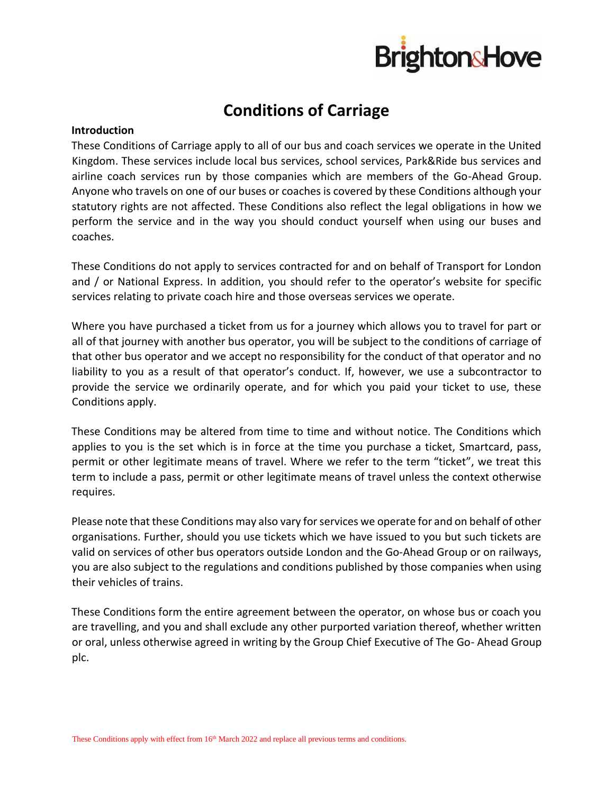

# **Conditions of Carriage**

# **Introduction**

These Conditions of Carriage apply to all of our bus and coach services we operate in the United Kingdom. These services include local bus services, school services, Park&Ride bus services and airline coach services run by those companies which are members of the Go-Ahead Group. Anyone who travels on one of our buses or coaches is covered by these Conditions although your statutory rights are not affected. These Conditions also reflect the legal obligations in how we perform the service and in the way you should conduct yourself when using our buses and coaches.

These Conditions do not apply to services contracted for and on behalf of Transport for London and / or National Express. In addition, you should refer to the operator's website for specific services relating to private coach hire and those overseas services we operate.

Where you have purchased a ticket from us for a journey which allows you to travel for part or all of that journey with another bus operator, you will be subject to the conditions of carriage of that other bus operator and we accept no responsibility for the conduct of that operator and no liability to you as a result of that operator's conduct. If, however, we use a subcontractor to provide the service we ordinarily operate, and for which you paid your ticket to use, these Conditions apply.

These Conditions may be altered from time to time and without notice. The Conditions which applies to you is the set which is in force at the time you purchase a ticket, Smartcard, pass, permit or other legitimate means of travel. Where we refer to the term "ticket", we treat this term to include a pass, permit or other legitimate means of travel unless the context otherwise requires.

Please note that these Conditions may also vary for services we operate for and on behalf of other organisations. Further, should you use tickets which we have issued to you but such tickets are valid on services of other bus operators outside London and the Go-Ahead Group or on railways, you are also subject to the regulations and conditions published by those companies when using their vehicles of trains.

These Conditions form the entire agreement between the operator, on whose bus or coach you are travelling, and you and shall exclude any other purported variation thereof, whether written or oral, unless otherwise agreed in writing by the Group Chief Executive of The Go- Ahead Group plc.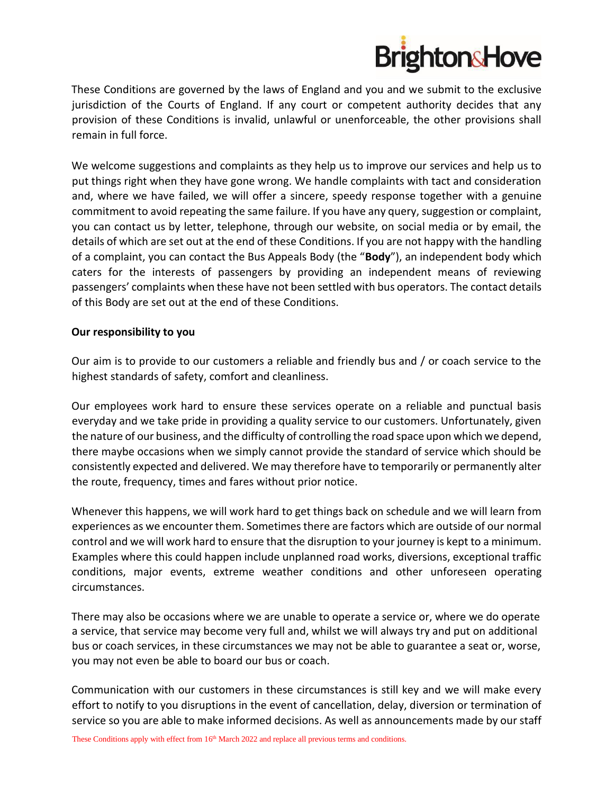

These Conditions are governed by the laws of England and you and we submit to the exclusive jurisdiction of the Courts of England. If any court or competent authority decides that any provision of these Conditions is invalid, unlawful or unenforceable, the other provisions shall remain in full force.

We welcome suggestions and complaints as they help us to improve our services and help us to put things right when they have gone wrong. We handle complaints with tact and consideration and, where we have failed, we will offer a sincere, speedy response together with a genuine commitment to avoid repeating the same failure. If you have any query, suggestion or complaint, you can contact us by letter, telephone, through our website, on social media or by email, the details of which are set out at the end of these Conditions. If you are not happy with the handling of a complaint, you can contact the Bus Appeals Body (the "**Body**"), an independent body which caters for the interests of passengers by providing an independent means of reviewing passengers' complaints when these have not been settled with bus operators. The contact details of this Body are set out at the end of these Conditions.

# **Our responsibility to you**

Our aim is to provide to our customers a reliable and friendly bus and / or coach service to the highest standards of safety, comfort and cleanliness.

Our employees work hard to ensure these services operate on a reliable and punctual basis everyday and we take pride in providing a quality service to our customers. Unfortunately, given the nature of our business, and the difficulty of controlling the road space upon which we depend, there maybe occasions when we simply cannot provide the standard of service which should be consistently expected and delivered. We may therefore have to temporarily or permanently alter the route, frequency, times and fares without prior notice.

Whenever this happens, we will work hard to get things back on schedule and we will learn from experiences as we encounter them. Sometimes there are factors which are outside of our normal control and we will work hard to ensure that the disruption to your journey is kept to a minimum. Examples where this could happen include unplanned road works, diversions, exceptional traffic conditions, major events, extreme weather conditions and other unforeseen operating circumstances.

There may also be occasions where we are unable to operate a service or, where we do operate a service, that service may become very full and, whilst we will always try and put on additional bus or coach services, in these circumstances we may not be able to guarantee a seat or, worse, you may not even be able to board our bus or coach.

Communication with our customers in these circumstances is still key and we will make every effort to notify to you disruptions in the event of cancellation, delay, diversion or termination of service so you are able to make informed decisions. As well as announcements made by our staff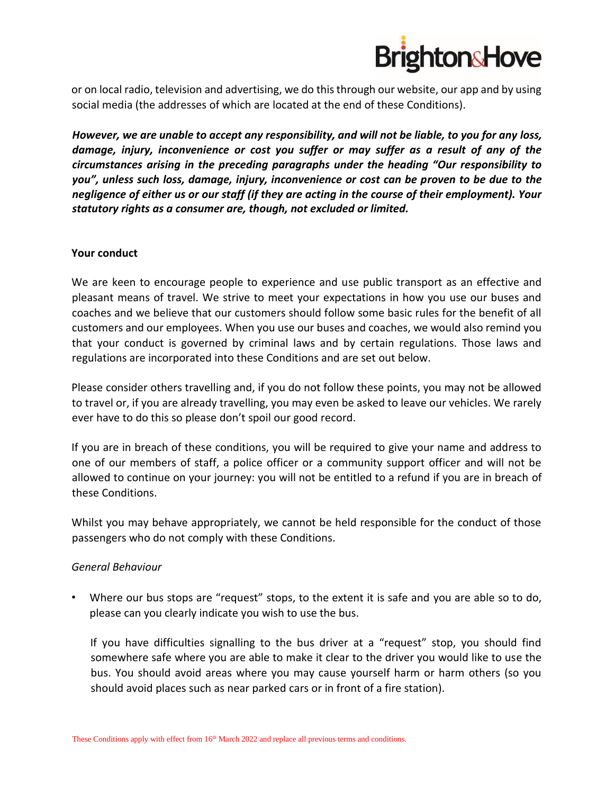

or on local radio, television and advertising, we do this through our website, our app and by using social media (the addresses of which are located at the end of these Conditions).

*However, we are unable to accept any responsibility, and will not be liable, to you for any loss, damage, injury, inconvenience or cost you suffer or may suffer as a result of any of the circumstances arising in the preceding paragraphs under the heading "Our responsibility to you", unless such loss, damage, injury, inconvenience or cost can be proven to be due to the negligence of either us or our staff (if they are acting in the course of their employment). Your statutory rights as a consumer are, though, not excluded or limited.* 

# **Your conduct**

We are keen to encourage people to experience and use public transport as an effective and pleasant means of travel. We strive to meet your expectations in how you use our buses and coaches and we believe that our customers should follow some basic rules for the benefit of all customers and our employees. When you use our buses and coaches, we would also remind you that your conduct is governed by criminal laws and by certain regulations. Those laws and regulations are incorporated into these Conditions and are set out below.

Please consider others travelling and, if you do not follow these points, you may not be allowed to travel or, if you are already travelling, you may even be asked to leave our vehicles. We rarely ever have to do this so please don't spoil our good record.

If you are in breach of these conditions, you will be required to give your name and address to one of our members of staff, a police officer or a community support officer and will not be allowed to continue on your journey: you will not be entitled to a refund if you are in breach of these Conditions.

Whilst you may behave appropriately, we cannot be held responsible for the conduct of those passengers who do not comply with these Conditions.

# *General Behaviour*

• Where our bus stops are "request" stops, to the extent it is safe and you are able so to do, please can you clearly indicate you wish to use the bus.

If you have difficulties signalling to the bus driver at a "request" stop, you should find somewhere safe where you are able to make it clear to the driver you would like to use the bus. You should avoid areas where you may cause yourself harm or harm others (so you should avoid places such as near parked cars or in front of a fire station).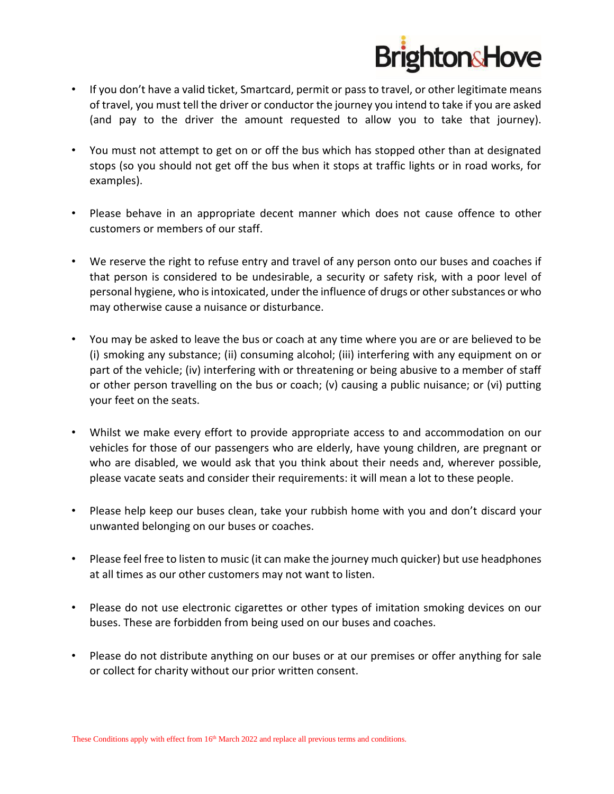

- If you don't have a valid ticket, Smartcard, permit or pass to travel, or other legitimate means of travel, you must tell the driver or conductor the journey you intend to take if you are asked (and pay to the driver the amount requested to allow you to take that journey).
- You must not attempt to get on or off the bus which has stopped other than at designated stops (so you should not get off the bus when it stops at traffic lights or in road works, for examples).
- Please behave in an appropriate decent manner which does not cause offence to other customers or members of our staff.
- We reserve the right to refuse entry and travel of any person onto our buses and coaches if that person is considered to be undesirable, a security or safety risk, with a poor level of personal hygiene, who is intoxicated, under the influence of drugs or other substances or who may otherwise cause a nuisance or disturbance.
- You may be asked to leave the bus or coach at any time where you are or are believed to be (i) smoking any substance; (ii) consuming alcohol; (iii) interfering with any equipment on or part of the vehicle; (iv) interfering with or threatening or being abusive to a member of staff or other person travelling on the bus or coach; (v) causing a public nuisance; or (vi) putting your feet on the seats.
- Whilst we make every effort to provide appropriate access to and accommodation on our vehicles for those of our passengers who are elderly, have young children, are pregnant or who are disabled, we would ask that you think about their needs and, wherever possible, please vacate seats and consider their requirements: it will mean a lot to these people.
- Please help keep our buses clean, take your rubbish home with you and don't discard your unwanted belonging on our buses or coaches.
- Please feel free to listen to music (it can make the journey much quicker) but use headphones at all times as our other customers may not want to listen.
- Please do not use electronic cigarettes or other types of imitation smoking devices on our buses. These are forbidden from being used on our buses and coaches.
- Please do not distribute anything on our buses or at our premises or offer anything for sale or collect for charity without our prior written consent.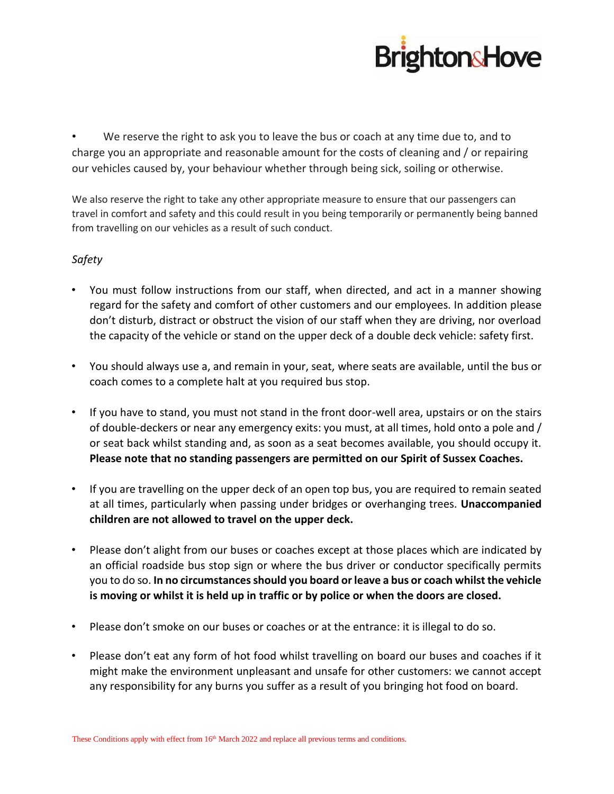

We reserve the right to ask you to leave the bus or coach at any time due to, and to charge you an appropriate and reasonable amount for the costs of cleaning and / or repairing our vehicles caused by, your behaviour whether through being sick, soiling or otherwise.

We also reserve the right to take any other appropriate measure to ensure that our passengers can travel in comfort and safety and this could result in you being temporarily or permanently being banned from travelling on our vehicles as a result of such conduct.

# *Safety*

- You must follow instructions from our staff, when directed, and act in a manner showing regard for the safety and comfort of other customers and our employees. In addition please don't disturb, distract or obstruct the vision of our staff when they are driving, nor overload the capacity of the vehicle or stand on the upper deck of a double deck vehicle: safety first.
- You should always use a, and remain in your, seat, where seats are available, until the bus or coach comes to a complete halt at you required bus stop.
- If you have to stand, you must not stand in the front door-well area, upstairs or on the stairs of double-deckers or near any emergency exits: you must, at all times, hold onto a pole and / or seat back whilst standing and, as soon as a seat becomes available, you should occupy it. **Please note that no standing passengers are permitted on our Spirit of Sussex Coaches.**
- If you are travelling on the upper deck of an open top bus, you are required to remain seated at all times, particularly when passing under bridges or overhanging trees. **Unaccompanied children are not allowed to travel on the upper deck.**
- Please don't alight from our buses or coaches except at those places which are indicated by an official roadside bus stop sign or where the bus driver or conductor specifically permits you to do so. **In no circumstances should you board or leave a bus or coach whilst the vehicle is moving or whilst it is held up in traffic or by police or when the doors are closed.**
- Please don't smoke on our buses or coaches or at the entrance: it is illegal to do so.
- Please don't eat any form of hot food whilst travelling on board our buses and coaches if it might make the environment unpleasant and unsafe for other customers: we cannot accept any responsibility for any burns you suffer as a result of you bringing hot food on board.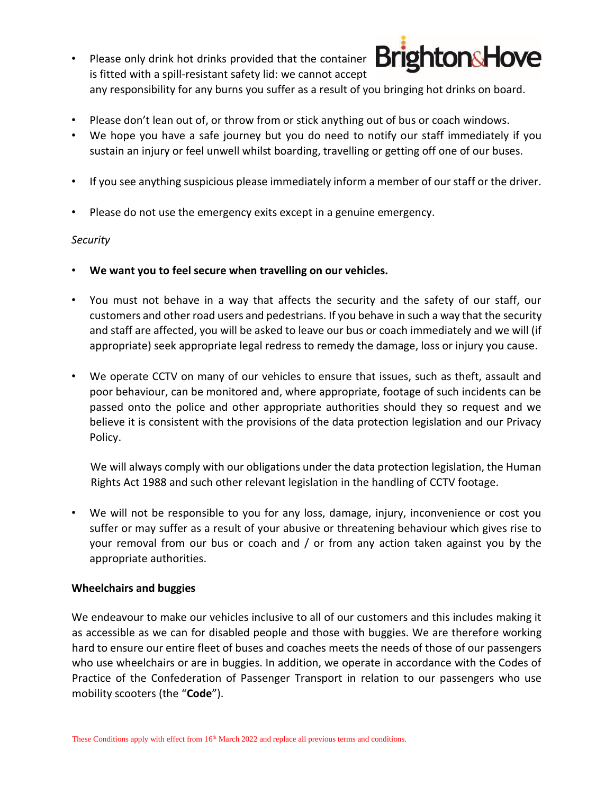- **Brighton&Hove** • Please only drink hot drinks provided that the container is fitted with a spill-resistant safety lid: we cannot accept any responsibility for any burns you suffer as a result of you bringing hot drinks on board.
- Please don't lean out of, or throw from or stick anything out of bus or coach windows.
- We hope you have a safe journey but you do need to notify our staff immediately if you sustain an injury or feel unwell whilst boarding, travelling or getting off one of our buses.
- If you see anything suspicious please immediately inform a member of our staff or the driver.
- Please do not use the emergency exits except in a genuine emergency.

# *Security*

- **We want you to feel secure when travelling on our vehicles.**
- You must not behave in a way that affects the security and the safety of our staff, our customers and other road users and pedestrians. If you behave in such a way that the security and staff are affected, you will be asked to leave our bus or coach immediately and we will (if appropriate) seek appropriate legal redress to remedy the damage, loss or injury you cause.
- We operate CCTV on many of our vehicles to ensure that issues, such as theft, assault and poor behaviour, can be monitored and, where appropriate, footage of such incidents can be passed onto the police and other appropriate authorities should they so request and we believe it is consistent with the provisions of the data protection legislation and our Privacy Policy.

We will always comply with our obligations under the data protection legislation, the Human Rights Act 1988 and such other relevant legislation in the handling of CCTV footage.

We will not be responsible to you for any loss, damage, injury, inconvenience or cost you suffer or may suffer as a result of your abusive or threatening behaviour which gives rise to your removal from our bus or coach and / or from any action taken against you by the appropriate authorities.

#### **Wheelchairs and buggies**

We endeavour to make our vehicles inclusive to all of our customers and this includes making it as accessible as we can for disabled people and those with buggies. We are therefore working hard to ensure our entire fleet of buses and coaches meets the needs of those of our passengers who use wheelchairs or are in buggies. In addition, we operate in accordance with the Codes of Practice of the Confederation of Passenger Transport in relation to our passengers who use mobility scooters (the "**Code**").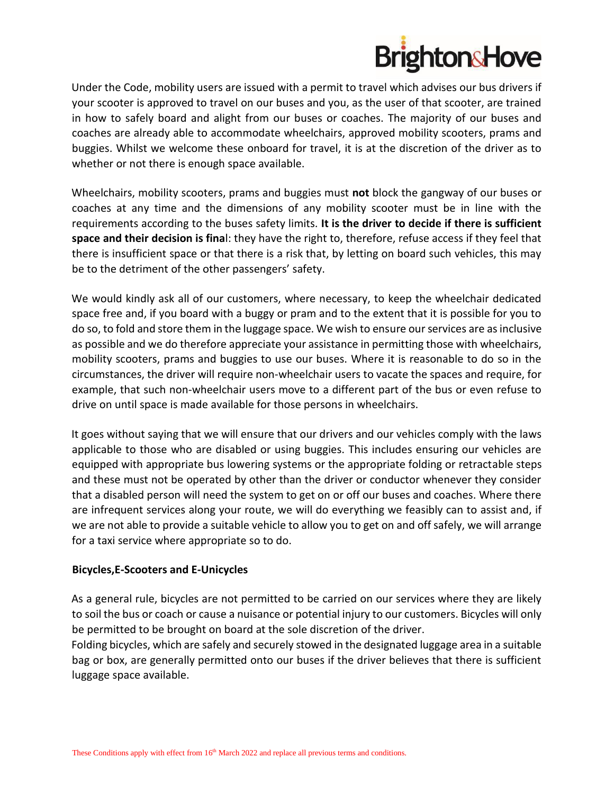

Under the Code, mobility users are issued with a permit to travel which advises our bus drivers if your scooter is approved to travel on our buses and you, as the user of that scooter, are trained in how to safely board and alight from our buses or coaches. The majority of our buses and coaches are already able to accommodate wheelchairs, approved mobility scooters, prams and buggies. Whilst we welcome these onboard for travel, it is at the discretion of the driver as to whether or not there is enough space available.

Wheelchairs, mobility scooters, prams and buggies must **not** block the gangway of our buses or coaches at any time and the dimensions of any mobility scooter must be in line with the requirements according to the buses safety limits. **It is the driver to decide if there is sufficient space and their decision is fina**l: they have the right to, therefore, refuse access if they feel that there is insufficient space or that there is a risk that, by letting on board such vehicles, this may be to the detriment of the other passengers' safety.

We would kindly ask all of our customers, where necessary, to keep the wheelchair dedicated space free and, if you board with a buggy or pram and to the extent that it is possible for you to do so, to fold and store them in the luggage space. We wish to ensure our services are as inclusive as possible and we do therefore appreciate your assistance in permitting those with wheelchairs, mobility scooters, prams and buggies to use our buses. Where it is reasonable to do so in the circumstances, the driver will require non-wheelchair users to vacate the spaces and require, for example, that such non-wheelchair users move to a different part of the bus or even refuse to drive on until space is made available for those persons in wheelchairs.

It goes without saying that we will ensure that our drivers and our vehicles comply with the laws applicable to those who are disabled or using buggies. This includes ensuring our vehicles are equipped with appropriate bus lowering systems or the appropriate folding or retractable steps and these must not be operated by other than the driver or conductor whenever they consider that a disabled person will need the system to get on or off our buses and coaches. Where there are infrequent services along your route, we will do everything we feasibly can to assist and, if we are not able to provide a suitable vehicle to allow you to get on and off safely, we will arrange for a taxi service where appropriate so to do.

# **Bicycles,E-Scooters and E-Unicycles**

As a general rule, bicycles are not permitted to be carried on our services where they are likely to soil the bus or coach or cause a nuisance or potential injury to our customers. Bicycles will only be permitted to be brought on board at the sole discretion of the driver.

Folding bicycles, which are safely and securely stowed in the designated luggage area in a suitable bag or box, are generally permitted onto our buses if the driver believes that there is sufficient luggage space available.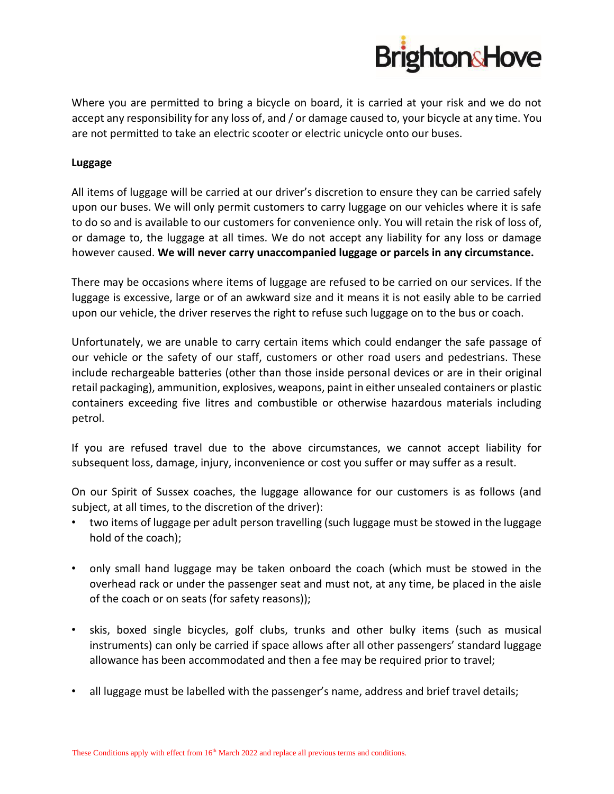

Where you are permitted to bring a bicycle on board, it is carried at your risk and we do not accept any responsibility for any loss of, and / or damage caused to, your bicycle at any time. You are not permitted to take an electric scooter or electric unicycle onto our buses.

# **Luggage**

All items of luggage will be carried at our driver's discretion to ensure they can be carried safely upon our buses. We will only permit customers to carry luggage on our vehicles where it is safe to do so and is available to our customers for convenience only. You will retain the risk of loss of, or damage to, the luggage at all times. We do not accept any liability for any loss or damage however caused. **We will never carry unaccompanied luggage or parcels in any circumstance.** 

There may be occasions where items of luggage are refused to be carried on our services. If the luggage is excessive, large or of an awkward size and it means it is not easily able to be carried upon our vehicle, the driver reserves the right to refuse such luggage on to the bus or coach.

Unfortunately, we are unable to carry certain items which could endanger the safe passage of our vehicle or the safety of our staff, customers or other road users and pedestrians. These include rechargeable batteries (other than those inside personal devices or are in their original retail packaging), ammunition, explosives, weapons, paint in either unsealed containers or plastic containers exceeding five litres and combustible or otherwise hazardous materials including petrol.

If you are refused travel due to the above circumstances, we cannot accept liability for subsequent loss, damage, injury, inconvenience or cost you suffer or may suffer as a result.

On our Spirit of Sussex coaches, the luggage allowance for our customers is as follows (and subject, at all times, to the discretion of the driver):

- two items of luggage per adult person travelling (such luggage must be stowed in the luggage hold of the coach);
- only small hand luggage may be taken onboard the coach (which must be stowed in the overhead rack or under the passenger seat and must not, at any time, be placed in the aisle of the coach or on seats (for safety reasons));
- skis, boxed single bicycles, golf clubs, trunks and other bulky items (such as musical instruments) can only be carried if space allows after all other passengers' standard luggage allowance has been accommodated and then a fee may be required prior to travel;
- all luggage must be labelled with the passenger's name, address and brief travel details;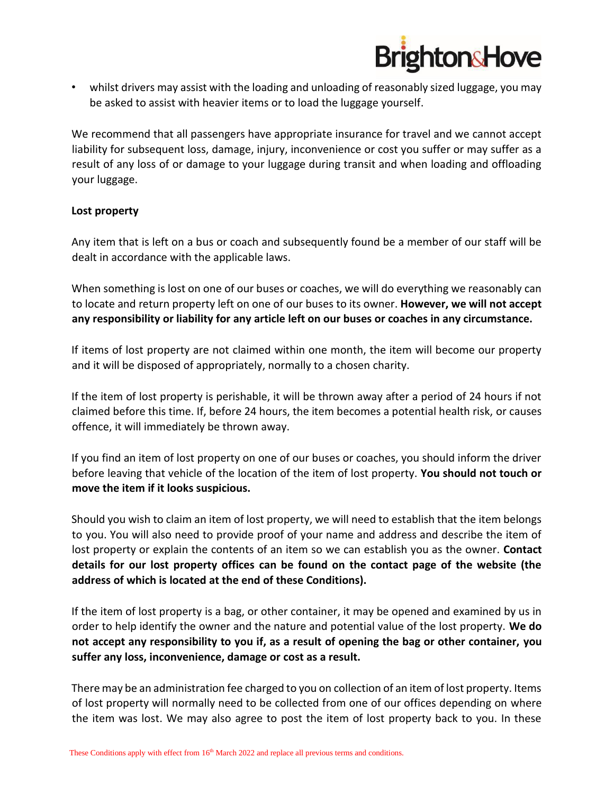

• whilst drivers may assist with the loading and unloading of reasonably sized luggage, you may be asked to assist with heavier items or to load the luggage yourself.

We recommend that all passengers have appropriate insurance for travel and we cannot accept liability for subsequent loss, damage, injury, inconvenience or cost you suffer or may suffer as a result of any loss of or damage to your luggage during transit and when loading and offloading your luggage.

# **Lost property**

Any item that is left on a bus or coach and subsequently found be a member of our staff will be dealt in accordance with the applicable laws.

When something is lost on one of our buses or coaches, we will do everything we reasonably can to locate and return property left on one of our buses to its owner. **However, we will not accept any responsibility or liability for any article left on our buses or coaches in any circumstance.** 

If items of lost property are not claimed within one month, the item will become our property and it will be disposed of appropriately, normally to a chosen charity.

If the item of lost property is perishable, it will be thrown away after a period of 24 hours if not claimed before this time. If, before 24 hours, the item becomes a potential health risk, or causes offence, it will immediately be thrown away.

If you find an item of lost property on one of our buses or coaches, you should inform the driver before leaving that vehicle of the location of the item of lost property. **You should not touch or move the item if it looks suspicious.** 

Should you wish to claim an item of lost property, we will need to establish that the item belongs to you. You will also need to provide proof of your name and address and describe the item of lost property or explain the contents of an item so we can establish you as the owner. **Contact details for our lost property offices can be found on the contact page of the website (the address of which is located at the end of these Conditions).** 

If the item of lost property is a bag, or other container, it may be opened and examined by us in order to help identify the owner and the nature and potential value of the lost property. **We do not accept any responsibility to you if, as a result of opening the bag or other container, you suffer any loss, inconvenience, damage or cost as a result.** 

There may be an administration fee charged to you on collection of an item of lost property. Items of lost property will normally need to be collected from one of our offices depending on where the item was lost. We may also agree to post the item of lost property back to you. In these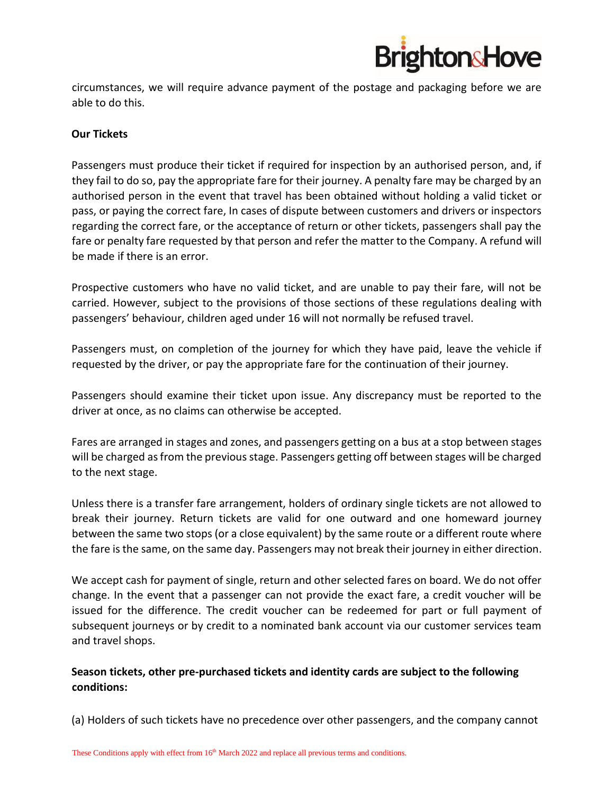

circumstances, we will require advance payment of the postage and packaging before we are able to do this.

# **Our Tickets**

Passengers must produce their ticket if required for inspection by an authorised person, and, if they fail to do so, pay the appropriate fare for their journey. A penalty fare may be charged by an authorised person in the event that travel has been obtained without holding a valid ticket or pass, or paying the correct fare, In cases of dispute between customers and drivers or inspectors regarding the correct fare, or the acceptance of return or other tickets, passengers shall pay the fare or penalty fare requested by that person and refer the matter to the Company. A refund will be made if there is an error.

Prospective customers who have no valid ticket, and are unable to pay their fare, will not be carried. However, subject to the provisions of those sections of these regulations dealing with passengers' behaviour, children aged under 16 will not normally be refused travel.

Passengers must, on completion of the journey for which they have paid, leave the vehicle if requested by the driver, or pay the appropriate fare for the continuation of their journey.

Passengers should examine their ticket upon issue. Any discrepancy must be reported to the driver at once, as no claims can otherwise be accepted.

Fares are arranged in stages and zones, and passengers getting on a bus at a stop between stages will be charged as from the previous stage. Passengers getting off between stages will be charged to the next stage.

Unless there is a transfer fare arrangement, holders of ordinary single tickets are not allowed to break their journey. Return tickets are valid for one outward and one homeward journey between the same two stops (or a close equivalent) by the same route or a different route where the fare is the same, on the same day. Passengers may not break their journey in either direction.

We accept cash for payment of single, return and other selected fares on board. We do not offer change. In the event that a passenger can not provide the exact fare, a credit voucher will be issued for the difference. The credit voucher can be redeemed for part or full payment of subsequent journeys or by credit to a nominated bank account via our customer services team and travel shops.

# **Season tickets, other pre-purchased tickets and identity cards are subject to the following conditions:**

(a) Holders of such tickets have no precedence over other passengers, and the company cannot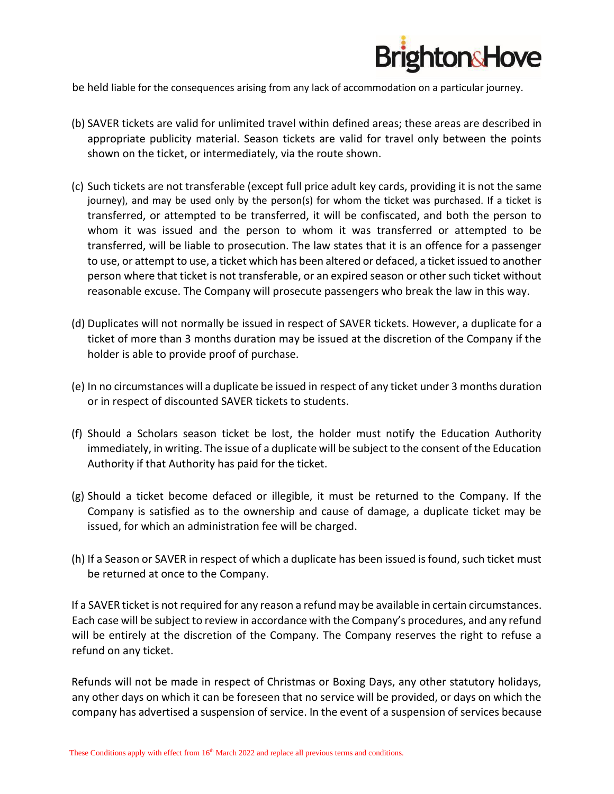

be held liable for the consequences arising from any lack of accommodation on a particular journey.

- (b) SAVER tickets are valid for unlimited travel within defined areas; these areas are described in appropriate publicity material. Season tickets are valid for travel only between the points shown on the ticket, or intermediately, via the route shown.
- (c) Such tickets are not transferable (except full price adult key cards, providing it is not the same journey), and may be used only by the person(s) for whom the ticket was purchased. If a ticket is transferred, or attempted to be transferred, it will be confiscated, and both the person to whom it was issued and the person to whom it was transferred or attempted to be transferred, will be liable to prosecution. The law states that it is an offence for a passenger to use, or attempt to use, a ticket which has been altered or defaced, a ticket issued to another person where that ticket is not transferable, or an expired season or other such ticket without reasonable excuse. The Company will prosecute passengers who break the law in this way.
- (d) Duplicates will not normally be issued in respect of SAVER tickets. However, a duplicate for a ticket of more than 3 months duration may be issued at the discretion of the Company if the holder is able to provide proof of purchase.
- (e) In no circumstances will a duplicate be issued in respect of any ticket under 3 months duration or in respect of discounted SAVER tickets to students.
- (f) Should a Scholars season ticket be lost, the holder must notify the Education Authority immediately, in writing. The issue of a duplicate will be subject to the consent of the Education Authority if that Authority has paid for the ticket.
- (g) Should a ticket become defaced or illegible, it must be returned to the Company. If the Company is satisfied as to the ownership and cause of damage, a duplicate ticket may be issued, for which an administration fee will be charged.
- (h) If a Season or SAVER in respect of which a duplicate has been issued is found, such ticket must be returned at once to the Company.

If a SAVER ticket is not required for any reason a refund may be available in certain circumstances. Each case will be subject to review in accordance with the Company's procedures, and any refund will be entirely at the discretion of the Company. The Company reserves the right to refuse a refund on any ticket.

Refunds will not be made in respect of Christmas or Boxing Days, any other statutory holidays, any other days on which it can be foreseen that no service will be provided, or days on which the company has advertised a suspension of service. In the event of a suspension of services because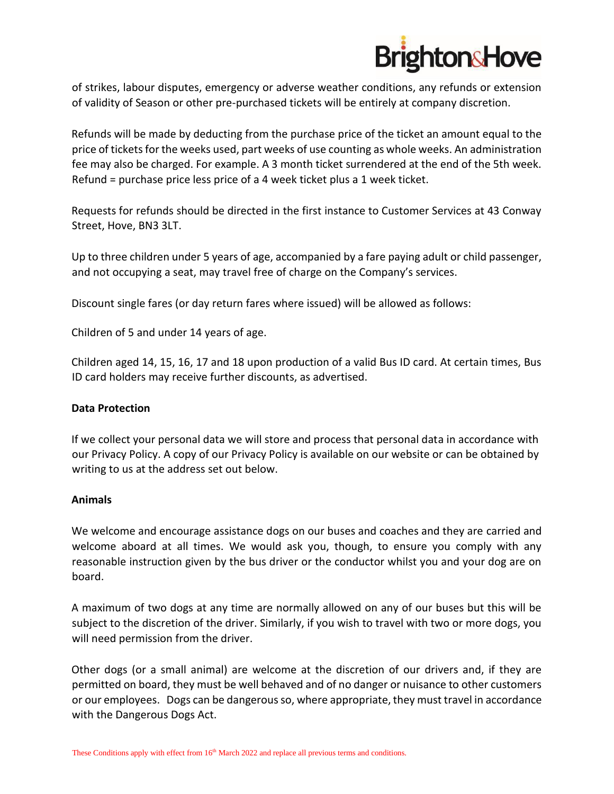

of strikes, labour disputes, emergency or adverse weather conditions, any refunds or extension of validity of Season or other pre-purchased tickets will be entirely at company discretion.

Refunds will be made by deducting from the purchase price of the ticket an amount equal to the price of tickets for the weeks used, part weeks of use counting as whole weeks. An administration fee may also be charged. For example. A 3 month ticket surrendered at the end of the 5th week. Refund = purchase price less price of a 4 week ticket plus a 1 week ticket.

Requests for refunds should be directed in the first instance to Customer Services at 43 Conway Street, Hove, BN3 3LT.

Up to three children under 5 years of age, accompanied by a fare paying adult or child passenger, and not occupying a seat, may travel free of charge on the Company's services.

Discount single fares (or day return fares where issued) will be allowed as follows:

Children of 5 and under 14 years of age.

Children aged 14, 15, 16, 17 and 18 upon production of a valid Bus ID card. At certain times, Bus ID card holders may receive further discounts, as advertised.

#### **Data Protection**

If we collect your personal data we will store and process that personal data in accordance with our Privacy Policy. A copy of our Privacy Policy is available on our website or can be obtained by writing to us at the address set out below.

#### **Animals**

We welcome and encourage assistance dogs on our buses and coaches and they are carried and welcome aboard at all times. We would ask you, though, to ensure you comply with any reasonable instruction given by the bus driver or the conductor whilst you and your dog are on board.

A maximum of two dogs at any time are normally allowed on any of our buses but this will be subject to the discretion of the driver. Similarly, if you wish to travel with two or more dogs, you will need permission from the driver.

Other dogs (or a small animal) are welcome at the discretion of our drivers and, if they are permitted on board, they must be well behaved and of no danger or nuisance to other customers or our employees. Dogs can be dangerous so, where appropriate, they must travel in accordance with the Dangerous Dogs Act.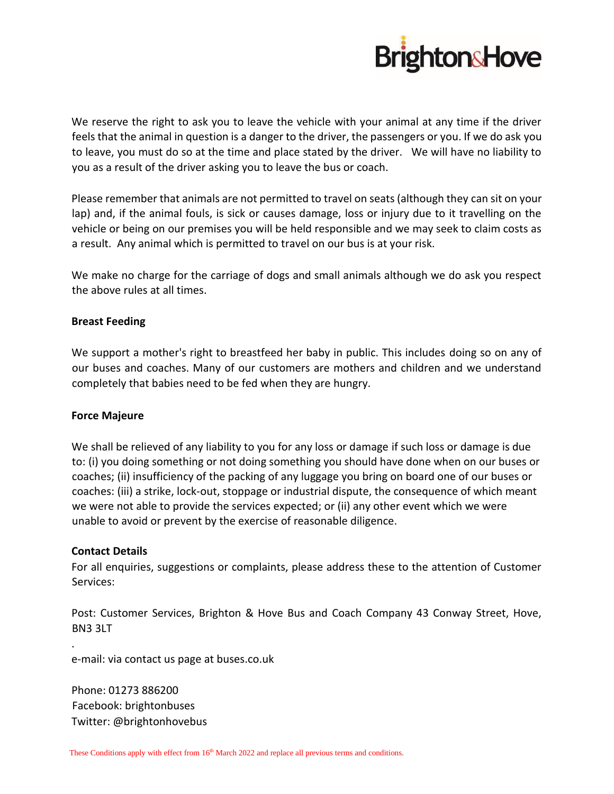

We reserve the right to ask you to leave the vehicle with your animal at any time if the driver feels that the animal in question is a danger to the driver, the passengers or you. If we do ask you to leave, you must do so at the time and place stated by the driver. We will have no liability to you as a result of the driver asking you to leave the bus or coach.

Please remember that animals are not permitted to travel on seats (although they can sit on your lap) and, if the animal fouls, is sick or causes damage, loss or injury due to it travelling on the vehicle or being on our premises you will be held responsible and we may seek to claim costs as a result. Any animal which is permitted to travel on our bus is at your risk.

We make no charge for the carriage of dogs and small animals although we do ask you respect the above rules at all times.

# **Breast Feeding**

We support a mother's right to breastfeed her baby in public. This includes doing so on any of our buses and coaches. Many of our customers are mothers and children and we understand completely that babies need to be fed when they are hungry.

#### **Force Majeure**

We shall be relieved of any liability to you for any loss or damage if such loss or damage is due to: (i) you doing something or not doing something you should have done when on our buses or coaches; (ii) insufficiency of the packing of any luggage you bring on board one of our buses or coaches: (iii) a strike, lock-out, stoppage or industrial dispute, the consequence of which meant we were not able to provide the services expected; or (ii) any other event which we were unable to avoid or prevent by the exercise of reasonable diligence.

#### **Contact Details**

.

For all enquiries, suggestions or complaints, please address these to the attention of Customer Services:

Post: Customer Services, Brighton & Hove Bus and Coach Company 43 Conway Street, Hove, BN3 3LT

e-mail: via contact us page at buses.co.uk

Phone: 01273 886200 Facebook: brightonbuses Twitter: @brightonhovebus